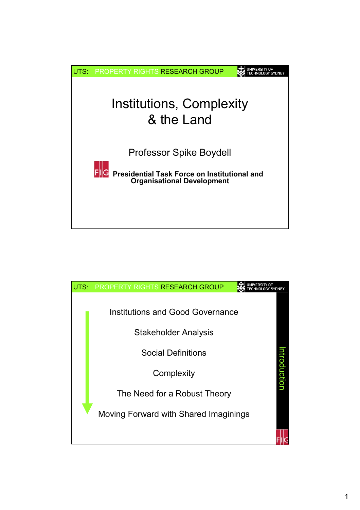

| UTS: | <b>PROPERTY RIGHTS RESEARCH GROUP</b> |             |
|------|---------------------------------------|-------------|
|      | Institutions and Good Governance      |             |
|      | <b>Stakeholder Analysis</b>           |             |
|      | <b>Social Definitions</b>             |             |
|      | Complexity                            | ntroduction |
|      | The Need for a Robust Theory          |             |
|      | Moving Forward with Shared Imaginings |             |
|      |                                       |             |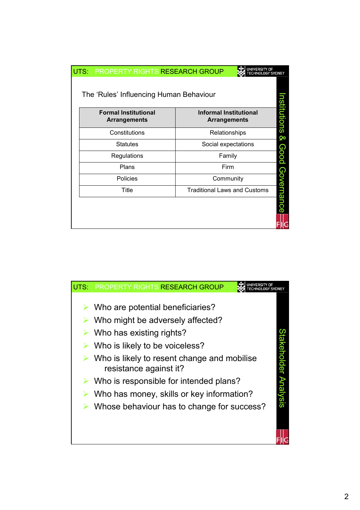| UNIVERSITY OF<br>UTS: PROPERTY RIGHTS RESEARCH GROUP<br><b>SYDNEY</b> |                                                    |                                                      |             |  |  |
|-----------------------------------------------------------------------|----------------------------------------------------|------------------------------------------------------|-------------|--|--|
|                                                                       | The 'Rules' Influencing Human Behaviour            |                                                      |             |  |  |
|                                                                       | <b>Formal Institutional</b><br><b>Arrangements</b> | <b>Informal Institutional</b><br><b>Arrangements</b> | nstitutions |  |  |
|                                                                       | Constitutions                                      | Relationships                                        | ହ           |  |  |
|                                                                       | <b>Statutes</b>                                    | Social expectations                                  |             |  |  |
|                                                                       | Regulations                                        | Family                                               | Good        |  |  |
|                                                                       | Plans                                              | Firm                                                 |             |  |  |
|                                                                       | <b>Policies</b>                                    | Community                                            |             |  |  |
|                                                                       | Title                                              | <b>Traditional Laws and Customs</b>                  |             |  |  |
|                                                                       |                                                    |                                                      | Governance  |  |  |

| UTS: | PROPERTY RIGHTS RESEARCH GROUP                                                                                                                                                    |                     |
|------|-----------------------------------------------------------------------------------------------------------------------------------------------------------------------------------|---------------------|
|      | Who are potential beneficiaries?<br>Who might be adversely affected?<br>Who has existing rights?<br>Who is likely to be voiceless?<br>Who is likely to resent change and mobilise |                     |
|      | resistance against it?<br>Who is responsible for intended plans?<br>Who has money, skills or key information?<br>Whose behaviour has to change for success?                       | takeholder Analysis |
|      |                                                                                                                                                                                   |                     |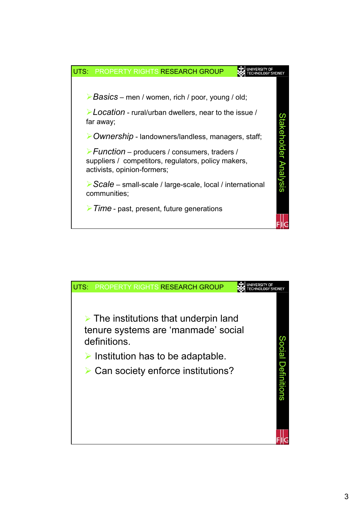

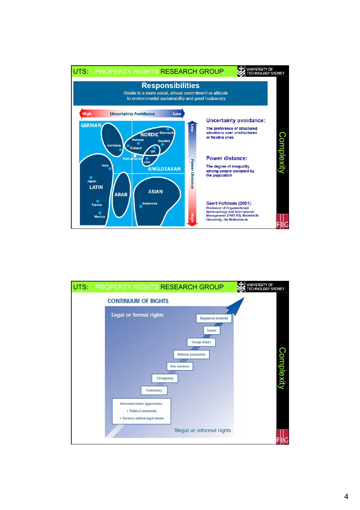

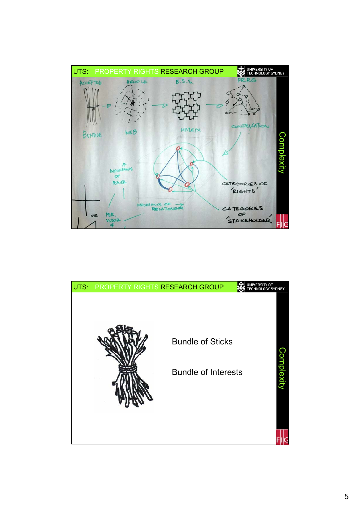

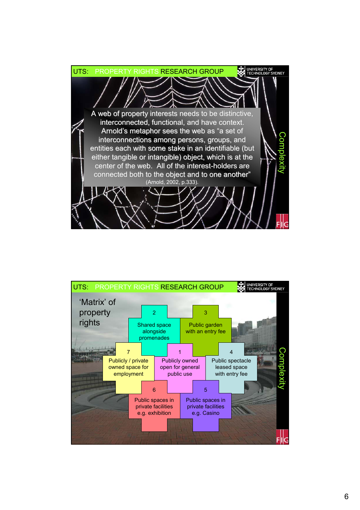

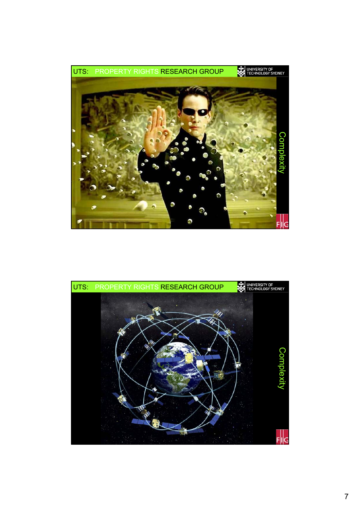

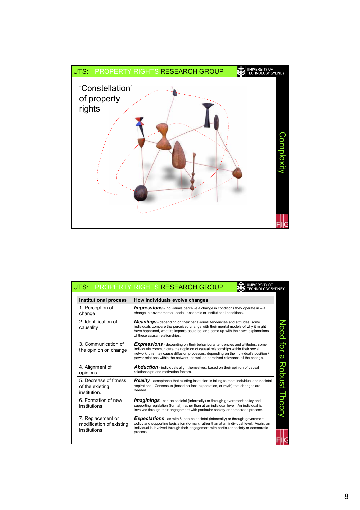

|                                                                                                                                                                                                                                                                                                        | <b>UNIVERSITY OF</b><br>UTS: PROPERTY RIGHTS RESEARCH GROUP<br><b>ECHNOLOGY SYDNEY</b>                                                                                                                                                                                                                                                                |  |
|--------------------------------------------------------------------------------------------------------------------------------------------------------------------------------------------------------------------------------------------------------------------------------------------------------|-------------------------------------------------------------------------------------------------------------------------------------------------------------------------------------------------------------------------------------------------------------------------------------------------------------------------------------------------------|--|
| <b>Institutional process</b>                                                                                                                                                                                                                                                                           | How individuals evolve changes                                                                                                                                                                                                                                                                                                                        |  |
| 1. Perception of<br>change                                                                                                                                                                                                                                                                             | <b>Impressions</b> - individuals perceive a change in conditions they operate in – a<br>change in environmental, social, economic or institutional conditions.                                                                                                                                                                                        |  |
| 2 Identification of<br>causality                                                                                                                                                                                                                                                                       | <b>Meanings</b> - depending on their behavioural tendencies and attitudes, some<br>individuals compare the perceived change with their mental models of why it might<br>have happened, what its impacts could be, and come up with their own explanations<br>of these causal relationships.                                                           |  |
| 3. Communication of<br>the opinion on change                                                                                                                                                                                                                                                           | <b>Expressions</b> - depending on their behavioural tendencies and attitudes, some<br>individuals communicate their opinion of causal relationships within their social<br>network; this may cause diffusion processes, depending on the individual's position /<br>power relations within the network, as well as perceived relevance of the change. |  |
| 4. Alignment of<br>opinions                                                                                                                                                                                                                                                                            | <b>Abduction</b> - individuals align themselves, based on their opinion of causal<br>relationships and motivation factors.                                                                                                                                                                                                                            |  |
| 5. Decrease of fitness<br>of the existing<br>institution.                                                                                                                                                                                                                                              | <b>Reality</b> - acceptance that existing institution is failing to meet individual and societal<br>aspirations. Consensus (based on fact, expectation, or myth) that changes are<br>needed.                                                                                                                                                          |  |
| 6. Formation of new<br><b>Imaginings</b> - can be societal (informally) or through government policy and<br>supporting legislation (formal), rather than at an individual level. An individual is<br>institutions.<br>involved through their engagement with particular society or democratic process. |                                                                                                                                                                                                                                                                                                                                                       |  |
| 7. Replacement or<br>modification of existing<br>institutions.                                                                                                                                                                                                                                         | <b>Expectations</b> - as with 6, can be societal (informally) or through government<br>policy and supporting legislation (formal), rather than at an individual level. Again, an<br>individual is involved through their engagement with particular society or democratic<br>process.                                                                 |  |